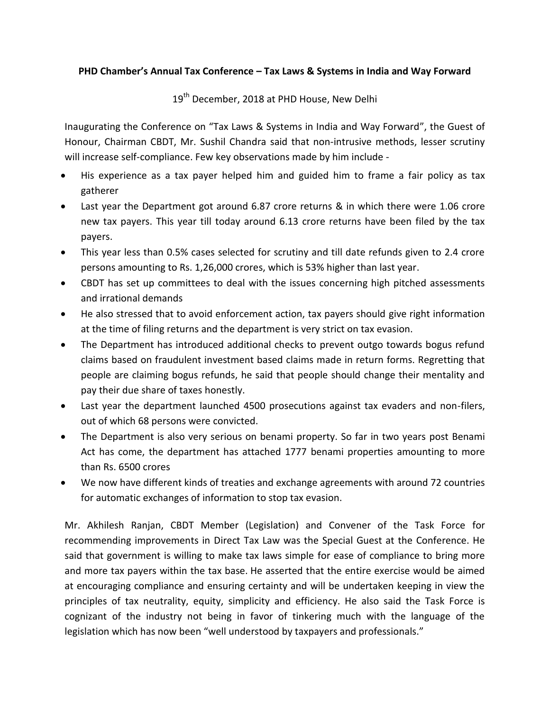## **PHD Chamber's Annual Tax Conference – Tax Laws & Systems in India and Way Forward**

19<sup>th</sup> December, 2018 at PHD House, New Delhi

Inaugurating the Conference on "Tax Laws & Systems in India and Way Forward", the Guest of Honour, Chairman CBDT, Mr. Sushil Chandra said that non-intrusive methods, lesser scrutiny will increase self-compliance. Few key observations made by him include -

- His experience as a tax payer helped him and guided him to frame a fair policy as tax gatherer
- Last year the Department got around 6.87 crore returns & in which there were 1.06 crore new tax payers. This year till today around 6.13 crore returns have been filed by the tax payers.
- This year less than 0.5% cases selected for scrutiny and till date refunds given to 2.4 crore persons amounting to Rs. 1,26,000 crores, which is 53% higher than last year.
- CBDT has set up committees to deal with the issues concerning high pitched assessments and irrational demands
- He also stressed that to avoid enforcement action, tax payers should give right information at the time of filing returns and the department is very strict on tax evasion.
- The Department has introduced additional checks to prevent outgo towards bogus refund claims based on fraudulent investment based claims made in return forms. Regretting that people are claiming bogus refunds, he said that people should change their mentality and pay their due share of taxes honestly.
- Last year the department launched 4500 prosecutions against tax evaders and non-filers, out of which 68 persons were convicted.
- The Department is also very serious on benami property. So far in two years post Benami Act has come, the department has attached 1777 benami properties amounting to more than Rs. 6500 crores
- We now have different kinds of treaties and exchange agreements with around 72 countries for automatic exchanges of information to stop tax evasion.

Mr. Akhilesh Ranjan, CBDT Member (Legislation) and Convener of the Task Force for recommending improvements in Direct Tax Law was the Special Guest at the Conference. He said that government is willing to make tax laws simple for ease of compliance to bring more and more tax payers within the tax base. He asserted that the entire exercise would be aimed at encouraging compliance and ensuring certainty and will be undertaken keeping in view the principles of tax neutrality, equity, simplicity and efficiency. He also said the Task Force is cognizant of the industry not being in favor of tinkering much with the language of the legislation which has now been "well understood by taxpayers and professionals."